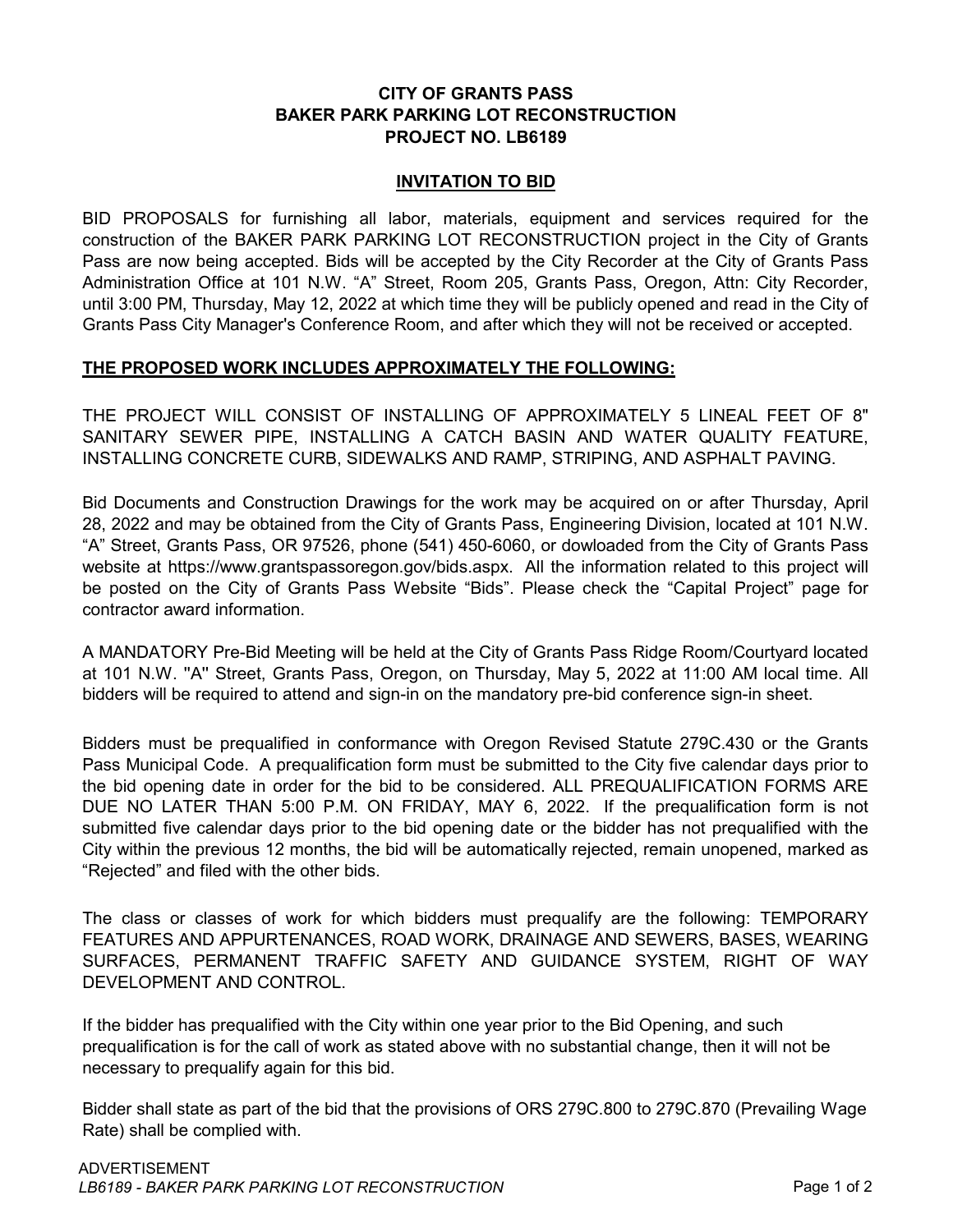# **CITY OF GRANTS PASS BAKER PARK PARKING LOT RECONSTRUCTION PROJECT NO. LB6189**

### **INVITATION TO BID**

BID PROPOSALS for furnishing all labor, materials, equipment and services required for the construction of the BAKER PARK PARKING LOT RECONSTRUCTION project in the City of Grants Pass are now being accepted. Bids will be accepted by the City Recorder at the City of Grants Pass Administration Office at 101 N.W. "A" Street, Room 205, Grants Pass, Oregon, Attn: City Recorder, until 3:00 PM, Thursday, May 12, 2022 at which time they will be publicly opened and read in the City of Grants Pass City Manager's Conference Room, and after which they will not be received or accepted.

## **THE PROPOSED WORK INCLUDES APPROXIMATELY THE FOLLOWING:**

THE PROJECT WILL CONSIST OF INSTALLING OF APPROXIMATELY 5 LINEAL FEET OF 8" SANITARY SEWER PIPE, INSTALLING A CATCH BASIN AND WATER QUALITY FEATURE, INSTALLING CONCRETE CURB, SIDEWALKS AND RAMP, STRIPING, AND ASPHALT PAVING.

Bid Documents and Construction Drawings for the work may be acquired on or after Thursday, April 28, 2022 and may be obtained from the City of Grants Pass, Engineering Division, located at 101 N.W. "A" Street, Grants Pass, OR 97526, phone (541) 450-6060, or dowloaded from the City of Grants Pass website at https://www.grantspassoregon.gov/bids.aspx. All the information related to this project will be posted on the City of Grants Pass Website "Bids". Please check the "Capital Project" page for contractor award information.

A MANDATORY Pre-Bid Meeting will be held at the City of Grants Pass Ridge Room/Courtyard located at 101 N.W. ''A'' Street, Grants Pass, Oregon, on Thursday, May 5, 2022 at 11:00 AM local time. All bidders will be required to attend and sign-in on the mandatory pre-bid conference sign-in sheet.

Bidders must be prequalified in conformance with Oregon Revised Statute 279C.430 or the Grants Pass Municipal Code. A prequalification form must be submitted to the City five calendar days prior to the bid opening date in order for the bid to be considered. ALL PREQUALIFICATION FORMS ARE DUE NO LATER THAN 5:00 P.M. ON FRIDAY, MAY 6, 2022. If the prequalification form is not submitted five calendar days prior to the bid opening date or the bidder has not prequalified with the City within the previous 12 months, the bid will be automatically rejected, remain unopened, marked as "Rejected" and filed with the other bids.

The class or classes of work for which bidders must prequalify are the following: TEMPORARY FEATURES AND APPURTENANCES, ROAD WORK, DRAINAGE AND SEWERS, BASES, WEARING SURFACES, PERMANENT TRAFFIC SAFETY AND GUIDANCE SYSTEM, RIGHT OF WAY DEVELOPMENT AND CONTROL.

If the bidder has prequalified with the City within one year prior to the Bid Opening, and such prequalification is for the call of work as stated above with no substantial change, then it will not be necessary to prequalify again for this bid.

Bidder shall state as part of the bid that the provisions of ORS 279C.800 to 279C.870 (Prevailing Wage Rate) shall be complied with.